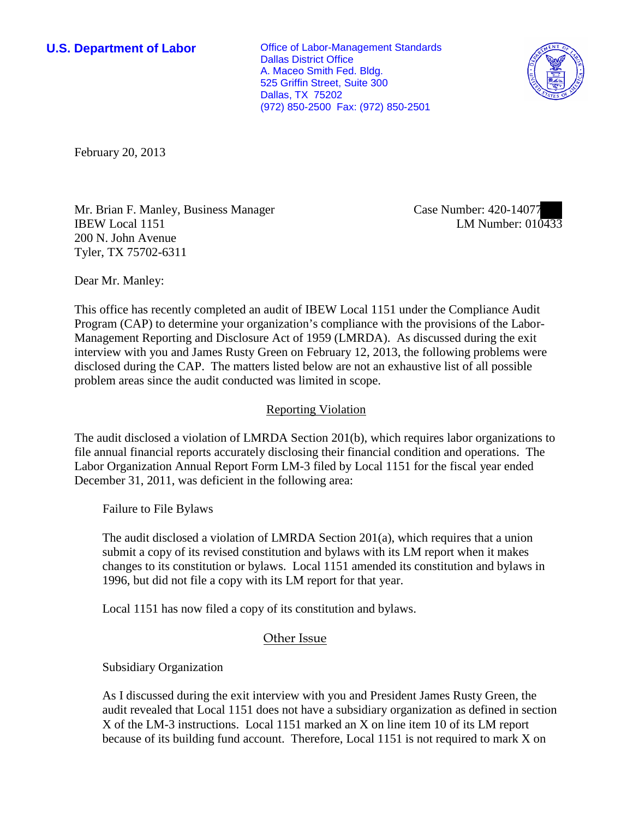**U.S. Department of Labor Conservative Conservative Conservative Conservative Conservative Conservative Conservative Conservative Conservative Conservative Conservative Conservative Conservative Conservative Conservative** Dallas District Office A. Maceo Smith Fed. Bldg. 525 Griffin Street, Suite 300 Dallas, TX 75202 (972) 850-2500 Fax: (972) 850-2501



February 20, 2013

Mr. Brian F. Manley, Business Manager IBEW Local 1151 200 N. John Avenue Tyler, TX 75702-6311

Case Number: 420-14077 LM Number: 010433

Dear Mr. Manley:

This office has recently completed an audit of IBEW Local 1151 under the Compliance Audit Program (CAP) to determine your organization's compliance with the provisions of the Labor-Management Reporting and Disclosure Act of 1959 (LMRDA). As discussed during the exit interview with you and James Rusty Green on February 12, 2013, the following problems were disclosed during the CAP. The matters listed below are not an exhaustive list of all possible problem areas since the audit conducted was limited in scope.

## Reporting Violation

The audit disclosed a violation of LMRDA Section 201(b), which requires labor organizations to file annual financial reports accurately disclosing their financial condition and operations. The Labor Organization Annual Report Form LM-3 filed by Local 1151 for the fiscal year ended December 31, 2011, was deficient in the following area:

Failure to File Bylaws

The audit disclosed a violation of LMRDA Section 201(a), which requires that a union submit a copy of its revised constitution and bylaws with its LM report when it makes changes to its constitution or bylaws. Local 1151 amended its constitution and bylaws in 1996, but did not file a copy with its LM report for that year.

Local 1151 has now filed a copy of its constitution and bylaws.

## Other Issue

Subsidiary Organization

 As I discussed during the exit interview with you and President James Rusty Green, the audit revealed that Local 1151 does not have a subsidiary organization as defined in section X of the LM-3 instructions. Local 1151 marked an X on line item 10 of its LM report because of its building fund account. Therefore, Local 1151 is not required to mark X on